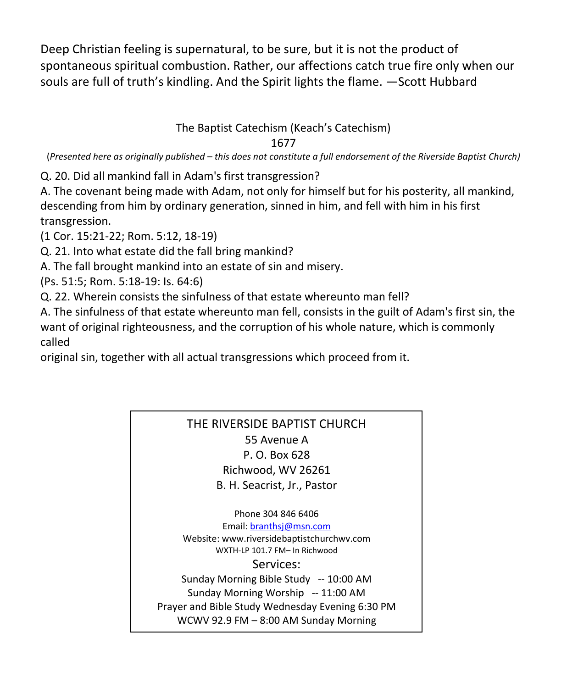Deep Christian feeling is supernatural, to be sure, but it is not the product of spontaneous spiritual combustion. Rather, our affections catch true fire only when our souls are full of truth's kindling. And the Spirit lights the flame. —Scott Hubbard

# The Baptist Catechism (Keach's Catechism)

## 1677

(*Presented here as originally published – this does not constitute a full endorsement of the Riverside Baptist Church)*

Q. 20. Did all mankind fall in Adam's first transgression?

A. The covenant being made with Adam, not only for himself but for his posterity, all mankind, descending from him by ordinary generation, sinned in him, and fell with him in his first transgression.

(1 Cor. 15:21-22; Rom. 5:12, 18-19)

Q. 21. Into what estate did the fall bring mankind?

A. The fall brought mankind into an estate of sin and misery.

(Ps. 51:5; Rom. 5:18-19: Is. 64:6)

Q. 22. Wherein consists the sinfulness of that estate whereunto man fell?

A. The sinfulness of that estate whereunto man fell, consists in the guilt of Adam's first sin, the want of original righteousness, and the corruption of his whole nature, which is commonly called

original sin, together with all actual transgressions which proceed from it.

## THE RIVERSIDE BAPTIST CHURCH 55 Avenue A P. O. Box 628 Richwood, WV 26261 B. H. Seacrist, Jr., Pastor

Phone 304 846 6406 Email[: branthsj@msn.com](mailto:branthsj@msn.com) Website: www.riversidebaptistchurchwv.com WXTH-LP 101.7 FM– In Richwood Services: Sunday Morning Bible Study -- 10:00 AM Sunday Morning Worship -- 11:00 AM Prayer and Bible Study Wednesday Evening 6:30 PM WCWV 92.9 FM – 8:00 AM Sunday Morning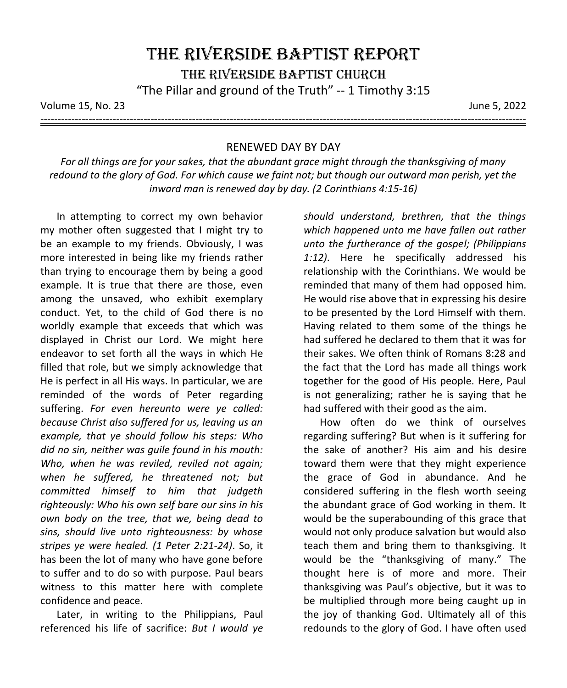Volume 15, No. 23 June 5, 2022

---------------------------------------------------------------------------------------------------------------------------------------------

#### RENEWED DAY BY DAY

*For all things are for your sakes, that the abundant grace might through the thanksgiving of many redound to the glory of God. For which cause we faint not; but though our outward man perish, yet the inward man is renewed day by day. (2 Corinthians 4:15-16)*

In attempting to correct my own behavior my mother often suggested that I might try to be an example to my friends. Obviously, I was more interested in being like my friends rather than trying to encourage them by being a good example. It is true that there are those, even among the unsaved, who exhibit exemplary conduct. Yet, to the child of God there is no worldly example that exceeds that which was displayed in Christ our Lord. We might here endeavor to set forth all the ways in which He filled that role, but we simply acknowledge that He is perfect in all His ways. In particular, we are reminded of the words of Peter regarding suffering. *For even hereunto were ye called: because Christ also suffered for us, leaving us an example, that ye should follow his steps: Who did no sin, neither was guile found in his mouth: Who, when he was reviled, reviled not again; when he suffered, he threatened not; but committed himself to him that judgeth righteously: Who his own self bare our sins in his own body on the tree, that we, being dead to sins, should live unto righteousness: by whose stripes ye were healed. (1 Peter 2:21-24)*. So, it has been the lot of many who have gone before to suffer and to do so with purpose. Paul bears witness to this matter here with complete confidence and peace.

Later, in writing to the Philippians, Paul referenced his life of sacrifice: *But I would ye* 

*should understand, brethren, that the things which happened unto me have fallen out rather unto the furtherance of the gospel; (Philippians 1:12)*. Here he specifically addressed his relationship with the Corinthians. We would be reminded that many of them had opposed him. He would rise above that in expressing his desire to be presented by the Lord Himself with them. Having related to them some of the things he had suffered he declared to them that it was for their sakes. We often think of Romans 8:28 and the fact that the Lord has made all things work together for the good of His people. Here, Paul is not generalizing; rather he is saying that he had suffered with their good as the aim.

How often do we think of ourselves regarding suffering? But when is it suffering for the sake of another? His aim and his desire toward them were that they might experience the grace of God in abundance. And he considered suffering in the flesh worth seeing the abundant grace of God working in them. It would be the superabounding of this grace that would not only produce salvation but would also teach them and bring them to thanksgiving. It would be the "thanksgiving of many." The thought here is of more and more. Their thanksgiving was Paul's objective, but it was to be multiplied through more being caught up in the joy of thanking God. Ultimately all of this redounds to the glory of God. I have often used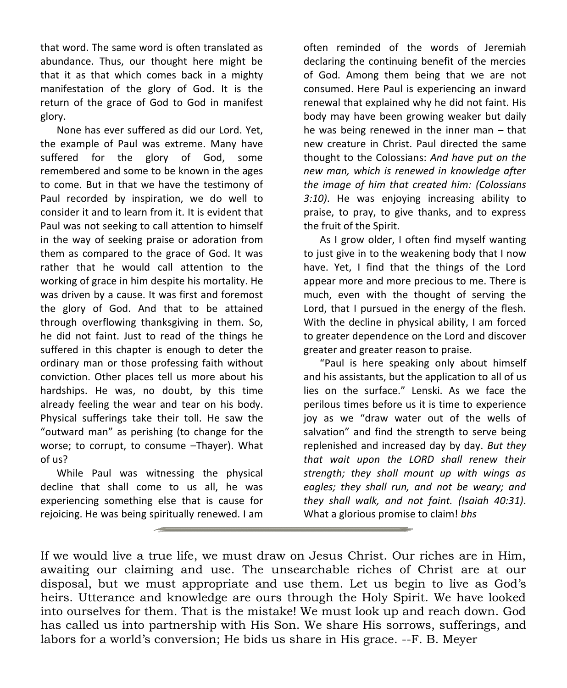that word. The same word is often translated as abundance. Thus, our thought here might be that it as that which comes back in a mighty manifestation of the glory of God. It is the return of the grace of God to God in manifest glory.

None has ever suffered as did our Lord. Yet, the example of Paul was extreme. Many have suffered for the glory of God, some remembered and some to be known in the ages to come. But in that we have the testimony of Paul recorded by inspiration, we do well to consider it and to learn from it. It is evident that Paul was not seeking to call attention to himself in the way of seeking praise or adoration from them as compared to the grace of God. It was rather that he would call attention to the working of grace in him despite his mortality. He was driven by a cause. It was first and foremost the glory of God. And that to be attained through overflowing thanksgiving in them. So, he did not faint. Just to read of the things he suffered in this chapter is enough to deter the ordinary man or those professing faith without conviction. Other places tell us more about his hardships. He was, no doubt, by this time already feeling the wear and tear on his body. Physical sufferings take their toll. He saw the "outward man" as perishing (to change for the worse; to corrupt, to consume –Thayer). What of us?

While Paul was witnessing the physical decline that shall come to us all, he was experiencing something else that is cause for rejoicing. He was being spiritually renewed. I am

often reminded of the words of Jeremiah declaring the continuing benefit of the mercies of God. Among them being that we are not consumed. Here Paul is experiencing an inward renewal that explained why he did not faint. His body may have been growing weaker but daily he was being renewed in the inner man – that new creature in Christ. Paul directed the same thought to the Colossians: *And have put on the new man, which is renewed in knowledge after the image of him that created him: (Colossians 3:10)*. He was enjoying increasing ability to praise, to pray, to give thanks, and to express the fruit of the Spirit.

As I grow older, I often find myself wanting to just give in to the weakening body that I now have. Yet, I find that the things of the Lord appear more and more precious to me. There is much, even with the thought of serving the Lord, that I pursued in the energy of the flesh. With the decline in physical ability, I am forced to greater dependence on the Lord and discover greater and greater reason to praise.

"Paul is here speaking only about himself and his assistants, but the application to all of us lies on the surface." Lenski. As we face the perilous times before us it is time to experience joy as we "draw water out of the wells of salvation" and find the strength to serve being replenished and increased day by day. *But they that wait upon the LORD shall renew their strength; they shall mount up with wings as eagles; they shall run, and not be weary; and they shall walk, and not faint. (Isaiah 40:31)*. What a glorious promise to claim! *bhs*

If we would live a true life, we must draw on Jesus Christ. Our riches are in Him, awaiting our claiming and use. The unsearchable riches of Christ are at our disposal, but we must appropriate and use them. Let us begin to live as God's heirs. Utterance and knowledge are ours through the Holy Spirit. We have looked into ourselves for them. That is the mistake! We must look up and reach down. God has called us into partnership with His Son. We share His sorrows, sufferings, and labors for a world's conversion; He bids us share in His grace. --F. B. Meyer